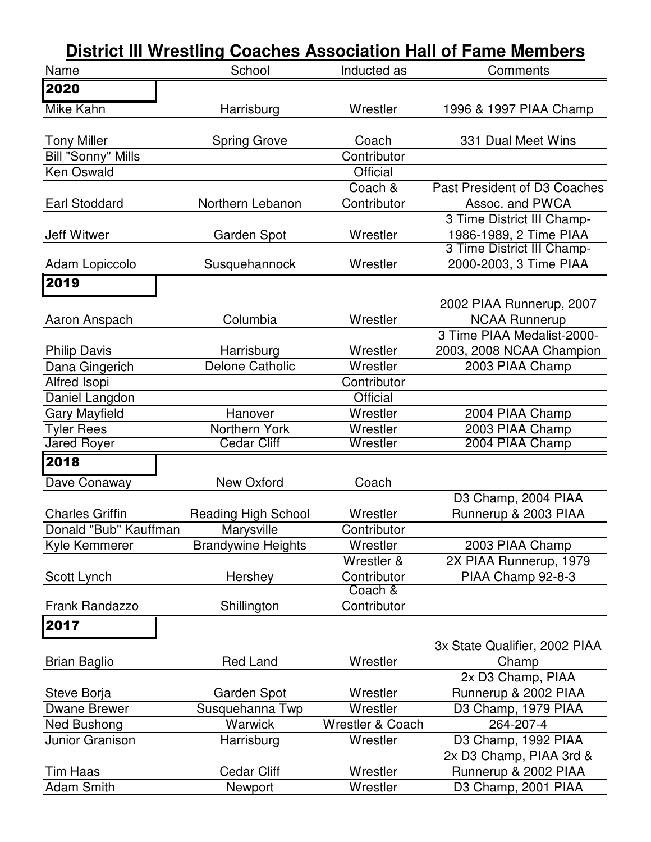| Name                      | School                     | Inducted as                 | Comments                      |
|---------------------------|----------------------------|-----------------------------|-------------------------------|
| 2020                      |                            |                             |                               |
| <b>Mike Kahn</b>          | Harrisburg                 | Wrestler                    | 1996 & 1997 PIAA Champ        |
|                           |                            |                             |                               |
| <b>Tony Miller</b>        | <b>Spring Grove</b>        | Coach                       | 331 Dual Meet Wins            |
| <b>Bill "Sonny" Mills</b> |                            | Contributor                 |                               |
| Ken Oswald                |                            | <b>Official</b>             |                               |
|                           |                            | Coach &                     | Past President of D3 Coaches  |
| <b>Earl Stoddard</b>      | Northern Lebanon           | Contributor                 | Assoc. and PWCA               |
|                           |                            |                             | 3 Time District III Champ-    |
| <b>Jeff Witwer</b>        | Garden Spot                | Wrestler                    | 1986-1989, 2 Time PIAA        |
|                           |                            |                             | 3 Time District III Champ-    |
| Adam Lopiccolo            | Susquehannock              | Wrestler                    | 2000-2003, 3 Time PIAA        |
| 2019                      |                            |                             |                               |
|                           |                            |                             | 2002 PIAA Runnerup, 2007      |
| Aaron Anspach             | Columbia                   | Wrestler                    | <b>NCAA Runnerup</b>          |
|                           |                            |                             | 3 Time PIAA Medalist-2000-    |
| <b>Philip Davis</b>       | Harrisburg                 | Wrestler                    | 2003, 2008 NCAA Champion      |
| Dana Gingerich            | <b>Delone Catholic</b>     | Wrestler                    | 2003 PIAA Champ               |
| Alfred Isopi              |                            | Contributor                 |                               |
| Daniel Langdon            |                            | <b>Official</b>             |                               |
| <b>Gary Mayfield</b>      | Hanover                    | Wrestler                    | 2004 PIAA Champ               |
| <b>Tyler Rees</b>         | Northern York              | Wrestler                    | 2003 PIAA Champ               |
| <b>Jared Royer</b>        | <b>Cedar Cliff</b>         | Wrestler                    | 2004 PIAA Champ               |
| 2018                      |                            |                             |                               |
| Dave Conaway              | New Oxford                 | Coach                       |                               |
|                           |                            |                             | D3 Champ, 2004 PIAA           |
| <b>Charles Griffin</b>    | <b>Reading High School</b> | Wrestler                    | Runnerup & 2003 PIAA          |
| Donald "Bub" Kauffman     | Marysville                 | Contributor                 |                               |
| Kyle Kemmerer             | <b>Brandywine Heights</b>  | Wrestler                    | 2003 PIAA Champ               |
|                           |                            | Wrestler &                  | 2X PIAA Runnerup, 1979        |
| Scott Lynch               | Hershey                    | Contributor                 | PIAA Champ 92-8-3             |
|                           |                            | Coach &                     |                               |
| <b>Frank Randazzo</b>     | Shillington                | Contributor                 |                               |
| $\overline{2017}$         |                            |                             |                               |
|                           |                            |                             | 3x State Qualifier, 2002 PIAA |
| <b>Brian Baglio</b>       | <b>Red Land</b>            | Wrestler                    | Champ                         |
|                           |                            |                             | 2x D3 Champ, PIAA             |
| Steve Borja               | <b>Garden Spot</b>         | Wrestler                    | Runnerup & 2002 PIAA          |
| <b>Dwane Brewer</b>       | Susquehanna Twp            | Wrestler                    | D3 Champ, 1979 PIAA           |
| Ned Bushong               | <b>Warwick</b>             | <b>Wrestler &amp; Coach</b> | 264-207-4                     |
| Junior Granison           | Harrisburg                 | Wrestler                    | D3 Champ, 1992 PIAA           |
|                           |                            |                             | 2x D3 Champ, PIAA 3rd &       |
| Tim Haas                  | <b>Cedar Cliff</b>         | Wrestler                    | Runnerup & 2002 PIAA          |
| <b>Adam Smith</b>         | Newport                    | Wrestler                    | D3 Champ, 2001 PIAA           |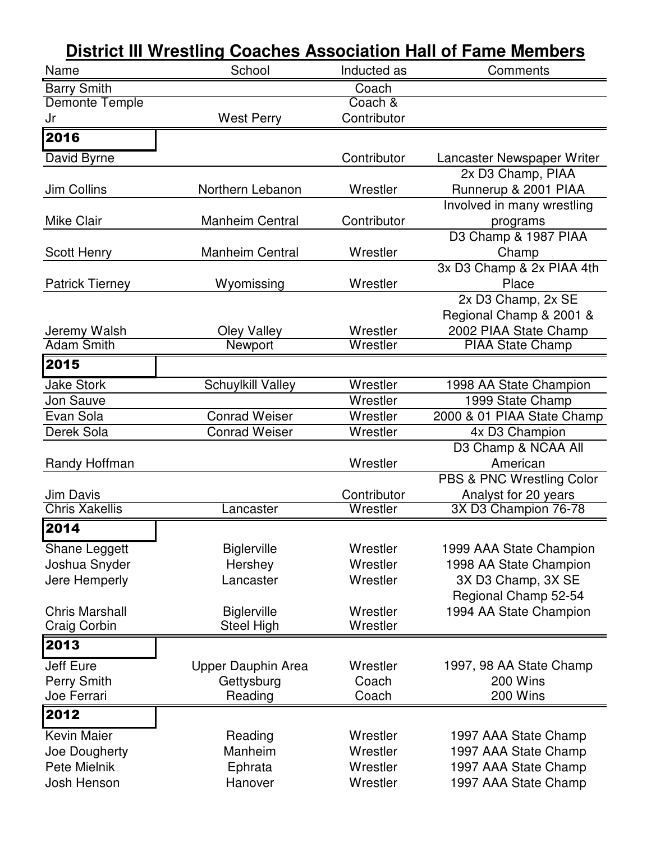| <b>District III Wrestling Coaches Association Hall of Fame Members</b> |                        |             |                            |
|------------------------------------------------------------------------|------------------------|-------------|----------------------------|
| Name                                                                   | School                 | Inducted as | Comments                   |
| <b>Barry Smith</b>                                                     |                        | Coach       |                            |
| Demonte Temple                                                         |                        | Coach &     |                            |
| Jr                                                                     | <b>West Perry</b>      | Contributor |                            |
| $\overline{20}$ 16                                                     |                        |             |                            |
| David Byrne                                                            |                        | Contributor | Lancaster Newspaper Writer |
|                                                                        |                        |             | 2x D3 Champ, PIAA          |
| Jim Collins                                                            | Northern Lebanon       | Wrestler    | Runnerup & 2001 PIAA       |
|                                                                        |                        |             | Involved in many wrestling |
| <b>Mike Clair</b>                                                      | <b>Manheim Central</b> | Contributor | programs                   |
|                                                                        |                        |             | D3 Champ & 1987 PIAA       |
| <b>Scott Henry</b>                                                     | <b>Manheim Central</b> | Wrestler    | Champ                      |
|                                                                        |                        |             | 3x D3 Champ & 2x PIAA 4th  |
| <b>Patrick Tierney</b>                                                 | Wyomissing             | Wrestler    | Place                      |
|                                                                        |                        |             | 2x D3 Champ, 2x SE         |
|                                                                        |                        |             | Regional Champ & 2001 &    |
| Jeremy Walsh                                                           | <b>Oley Valley</b>     | Wrestler    | 2002 PIAA State Champ      |
| <b>Adam Smith</b>                                                      | Newport                | Wrestler    | <b>PIAA State Champ</b>    |
| 2015                                                                   |                        |             |                            |
| <b>Jake Stork</b>                                                      | Schuylkill Valley      | Wrestler    | 1998 AA State Champion     |
| <b>Jon Sauve</b>                                                       |                        | Wrestler    | 1999 State Champ           |
| Evan Sola                                                              | <b>Conrad Weiser</b>   | Wrestler    | 2000 & 01 PIAA State Champ |
| Derek Sola                                                             | <b>Conrad Weiser</b>   | Wrestler    | 4x D3 Champion             |
|                                                                        |                        |             | D3 Champ & NCAA All        |
| Randy Hoffman                                                          |                        | Wrestler    | American                   |
|                                                                        |                        |             | PBS & PNC Wrestling Color  |
| Jim Davis                                                              |                        | Contributor | Analyst for 20 years       |
| <b>Chris Xakellis</b>                                                  | Lancaster              | Wrestler    | 3X D3 Champion 76-78       |
| 2014                                                                   |                        |             |                            |
| Shane Leggett                                                          | <b>Biglerville</b>     | Wrestler    | 1999 AAA State Champion    |
| Joshua Snyder                                                          | Hershey                | Wrestler    | 1998 AA State Champion     |
| Jere Hemperly                                                          | Lancaster              | Wrestler    | 3X D3 Champ, 3X SE         |
|                                                                        |                        |             | Regional Champ 52-54       |
| <b>Chris Marshall</b>                                                  | <b>Biglerville</b>     | Wrestler    | 1994 AA State Champion     |
| Craig Corbin                                                           | <b>Steel High</b>      | Wrestler    |                            |
| 2013                                                                   |                        |             |                            |
| <b>Jeff Eure</b>                                                       | Upper Dauphin Area     | Wrestler    | 1997, 98 AA State Champ    |
| <b>Perry Smith</b>                                                     | Gettysburg             | Coach       | 200 Wins                   |
| Joe Ferrari                                                            | Reading                | Coach       | 200 Wins                   |
| 2012                                                                   |                        |             |                            |
| <b>Kevin Maier</b>                                                     | Reading                | Wrestler    | 1997 AAA State Champ       |
| Joe Dougherty                                                          | Manheim                | Wrestler    | 1997 AAA State Champ       |
| Pete Mielnik                                                           | Ephrata                | Wrestler    | 1997 AAA State Champ       |
| Josh Henson                                                            | Hanover                | Wrestler    | 1997 AAA State Champ       |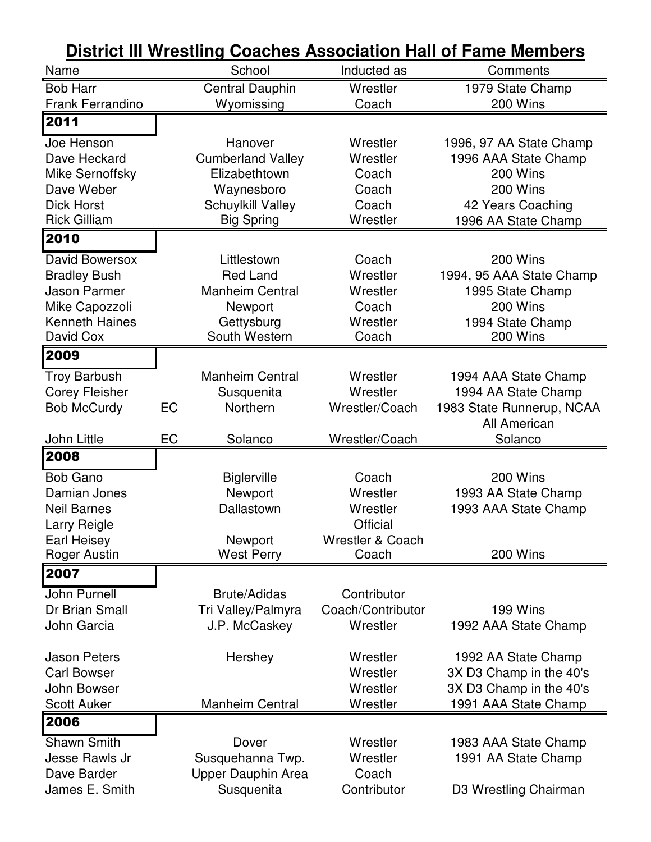|                                    |    | District in wrestling Coaches Association Hall of Fame Members |                             |                           |
|------------------------------------|----|----------------------------------------------------------------|-----------------------------|---------------------------|
| Name                               |    | School                                                         | Inducted as                 | Comments                  |
| <b>Bob Harr</b>                    |    | <b>Central Dauphin</b>                                         | Wrestler                    | 1979 State Champ          |
| <b>Frank Ferrandino</b>            |    | Wyomissing                                                     | Coach                       | 200 Wins                  |
| 2011                               |    |                                                                |                             |                           |
| Joe Henson                         |    | Hanover                                                        | Wrestler                    | 1996, 97 AA State Champ   |
| Dave Heckard                       |    | <b>Cumberland Valley</b>                                       | Wrestler                    | 1996 AAA State Champ      |
| Mike Sernoffsky                    |    | Elizabethtown                                                  | Coach                       | 200 Wins                  |
| Dave Weber                         |    | Waynesboro                                                     | Coach                       | 200 Wins                  |
| <b>Dick Horst</b>                  |    | <b>Schuylkill Valley</b>                                       | Coach                       | 42 Years Coaching         |
| <b>Rick Gilliam</b>                |    | <b>Big Spring</b>                                              | Wrestler                    | 1996 AA State Champ       |
| 2010                               |    |                                                                |                             |                           |
| David Bowersox                     |    | Littlestown                                                    | Coach                       | 200 Wins                  |
| <b>Bradley Bush</b>                |    | <b>Red Land</b>                                                | Wrestler                    | 1994, 95 AAA State Champ  |
| <b>Jason Parmer</b>                |    | <b>Manheim Central</b>                                         | Wrestler                    | 1995 State Champ          |
| Mike Capozzoli                     |    | Newport                                                        | Coach                       | 200 Wins                  |
| <b>Kenneth Haines</b>              |    | Gettysburg                                                     | Wrestler                    | 1994 State Champ          |
| David Cox                          |    | South Western                                                  | Coach                       | 200 Wins                  |
| 2009                               |    |                                                                |                             |                           |
| <b>Troy Barbush</b>                |    | <b>Manheim Central</b>                                         | Wrestler                    | 1994 AAA State Champ      |
| <b>Corey Fleisher</b>              |    | Susquenita                                                     | Wrestler                    | 1994 AA State Champ       |
| <b>Bob McCurdy</b>                 | EC | Northern                                                       | Wrestler/Coach              | 1983 State Runnerup, NCAA |
|                                    | EC |                                                                |                             | All American              |
| John Little<br>2008                |    | Solanco                                                        | Wrestler/Coach              | Solanco                   |
|                                    |    |                                                                |                             |                           |
| <b>Bob Gano</b>                    |    | <b>Biglerville</b>                                             | Coach                       | 200 Wins                  |
| Damian Jones                       |    | Newport                                                        | Wrestler                    | 1993 AA State Champ       |
| <b>Neil Barnes</b><br>Larry Reigle |    | Dallastown                                                     | Wrestler<br><b>Official</b> | 1993 AAA State Champ      |
| Earl Heisey                        |    | <b>Newport</b>                                                 | <b>Wrestler &amp; Coach</b> |                           |
| <b>Roger Austin</b>                |    | <b>West Perry</b>                                              | Coach                       | 200 Wins                  |
| 2007                               |    |                                                                |                             |                           |
| John Purnell                       |    | <b>Brute/Adidas</b>                                            | Contributor                 |                           |
| Dr Brian Small                     |    | Tri Valley/Palmyra                                             | Coach/Contributor           | 199 Wins                  |
| John Garcia                        |    | J.P. McCaskey                                                  |                             |                           |
|                                    |    |                                                                |                             |                           |
|                                    |    |                                                                | Wrestler                    | 1992 AAA State Champ      |
| <b>Jason Peters</b>                |    | Hershey                                                        | Wrestler                    | 1992 AA State Champ       |
| <b>Carl Bowser</b>                 |    |                                                                | Wrestler                    | 3X D3 Champ in the 40's   |
| John Bowser                        |    |                                                                | Wrestler                    | 3X D3 Champ in the 40's   |
| <b>Scott Auker</b>                 |    | <b>Manheim Central</b>                                         | Wrestler                    | 1991 AAA State Champ      |
| 2006                               |    |                                                                |                             |                           |
| <b>Shawn Smith</b>                 |    | Dover                                                          | Wrestler                    | 1983 AAA State Champ      |
| Jesse Rawls Jr                     |    | Susquehanna Twp.                                               | Wrestler                    | 1991 AA State Champ       |
| Dave Barder                        |    | Upper Dauphin Area                                             | Coach                       |                           |
| James E. Smith                     |    | Susquenita                                                     | Contributor                 | D3 Wrestling Chairman     |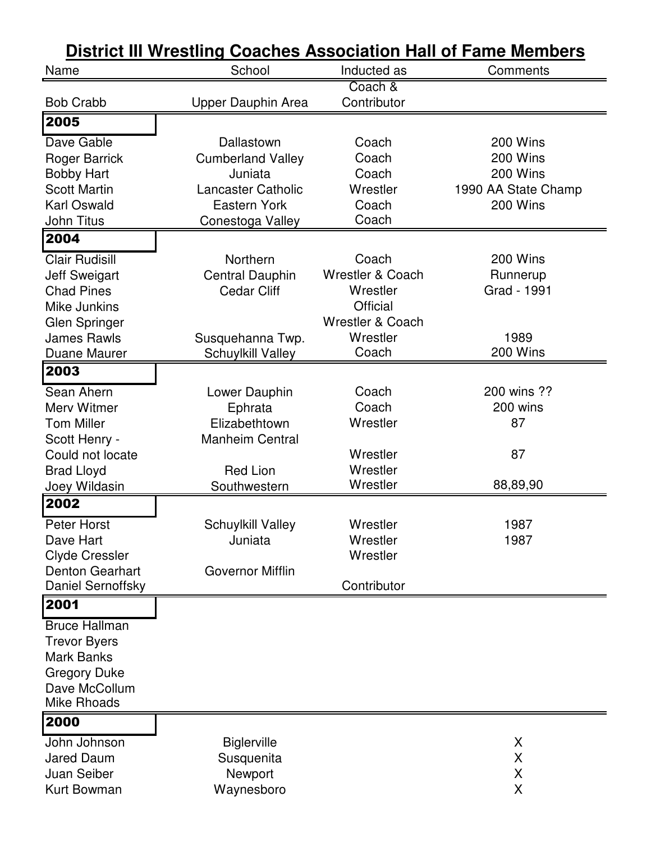| Name                                                                                                                                             | School                                                                                                                    | Inducted as                                                                                                             | Comments                                                            |
|--------------------------------------------------------------------------------------------------------------------------------------------------|---------------------------------------------------------------------------------------------------------------------------|-------------------------------------------------------------------------------------------------------------------------|---------------------------------------------------------------------|
| <b>Bob Crabb</b>                                                                                                                                 |                                                                                                                           | Coach &<br>Contributor                                                                                                  |                                                                     |
| 2005                                                                                                                                             | Upper Dauphin Area                                                                                                        |                                                                                                                         |                                                                     |
| Dave Gable<br><b>Roger Barrick</b><br><b>Bobby Hart</b><br><b>Scott Martin</b><br><b>Karl Oswald</b><br>John Titus                               | Dallastown<br><b>Cumberland Valley</b><br>Juniata<br><b>Lancaster Catholic</b><br><b>Eastern York</b><br>Conestoga Valley | Coach<br>Coach<br>Coach<br>Wrestler<br>Coach<br>Coach                                                                   | 200 Wins<br>200 Wins<br>200 Wins<br>1990 AA State Champ<br>200 Wins |
| 2004                                                                                                                                             |                                                                                                                           |                                                                                                                         |                                                                     |
| <b>Clair Rudisill</b><br><b>Jeff Sweigart</b><br><b>Chad Pines</b><br>Mike Junkins<br>Glen Springer<br><b>James Rawls</b><br><b>Duane Maurer</b> | Northern<br><b>Central Dauphin</b><br><b>Cedar Cliff</b><br>Susquehanna Twp.<br><b>Schuylkill Valley</b>                  | Coach<br><b>Wrestler &amp; Coach</b><br>Wrestler<br><b>Official</b><br><b>Wrestler &amp; Coach</b><br>Wrestler<br>Coach | 200 Wins<br>Runnerup<br>Grad - 1991<br>1989<br>200 Wins             |
| 2003                                                                                                                                             |                                                                                                                           |                                                                                                                         |                                                                     |
| Sean Ahern<br>Merv Witmer<br><b>Tom Miller</b><br>Scott Henry -<br>Could not locate<br><b>Brad Lloyd</b><br>Joey Wildasin                        | Lower Dauphin<br>Ephrata<br>Elizabethtown<br><b>Manheim Central</b><br><b>Red Lion</b><br>Southwestern                    | Coach<br>Coach<br>Wrestler<br>Wrestler<br>Wrestler<br>Wrestler                                                          | 200 wins ??<br>200 wins<br>87<br>87<br>88,89,90                     |
| 2002                                                                                                                                             |                                                                                                                           |                                                                                                                         |                                                                     |
| Peter Horst<br>Dave Hart<br><b>Clyde Cressler</b><br><b>Denton Gearhart</b><br>Daniel Sernoffsky                                                 | <b>Schuylkill Valley</b><br>Juniata<br><b>Governor Mifflin</b>                                                            | Wrestler<br>Wrestler<br>Wrestler<br>Contributor                                                                         | 1987<br>1987                                                        |
| 2001                                                                                                                                             |                                                                                                                           |                                                                                                                         |                                                                     |
| <b>Bruce Hallman</b><br><b>Trevor Byers</b><br><b>Mark Banks</b><br><b>Gregory Duke</b><br>Dave McCollum<br><b>Mike Rhoads</b>                   |                                                                                                                           |                                                                                                                         |                                                                     |
| 2000<br>John Johnson<br><b>Jared Daum</b><br>Juan Seiber<br><b>Kurt Bowman</b>                                                                   | <b>Biglerville</b><br>Susquenita<br>Newport<br>Waynesboro                                                                 |                                                                                                                         | X<br>X<br>X<br>X                                                    |